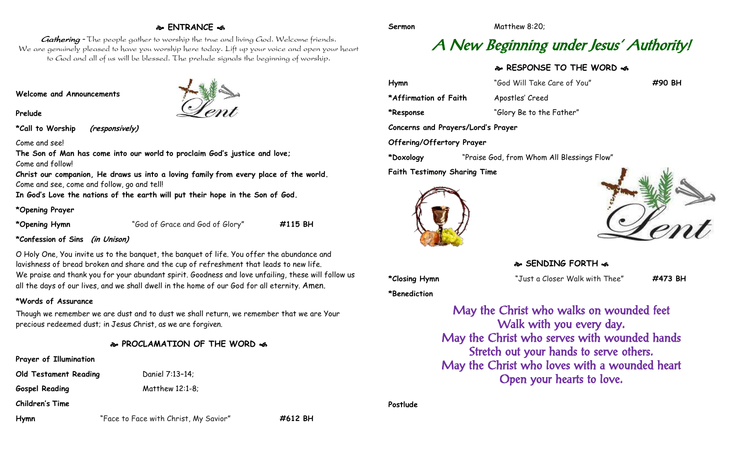#### **ENTRANCE**

Gathering - The people gather to worship the true and living God. Welcome friends. We are genuinely pleased to have you worship here today. Lift up your voice and open your heart to God and all of us will be blessed. The prelude signals the beginning of worship.

**Welcome and Announcements**

**Prelude**

**\*Call to Worship (responsively)**

Come and see!

**The Son of Man has come into our world to proclaim God's justice and love;** Come and follow!

**Christ our companion, He draws us into a loving family from every place of the world.** Come and see, come and follow, go and tell!

**In God's Love the nations of the earth will put their hope in the Son of God.**

#### **\*Opening Prayer**

**\*Opening Hymn** "God of Grace and God of Glory" **#115 BH**

**\*Confession of Sins (in Unison)**

O Holy One, You invite us to the banquet, the banquet of life. You offer the abundance and lavishness of bread broken and share and the cup of refreshment that leads to new life. We praise and thank you for your abundant spirit. Goodness and love unfailing, these will follow us all the days of our lives, and we shall dwell in the home of our God for all eternity. Amen.

#### **\*Words of Assurance**

Though we remember we are dust and to dust we shall return, we remember that we are Your precious redeemed dust; in Jesus Christ, as we are forgiven.

#### **PROCLAMATION OF THE WORD**

| Prayer of Illumination       |                                         |
|------------------------------|-----------------------------------------|
| <b>Old Testament Reading</b> | Daniel 7:13-14;                         |
| <b>Gospel Reading</b>        | Matthew 12:1-8;                         |
| Children's Time              |                                         |
| <b>I</b> Lame                | "Casa ta Casa with Chaigh Alve Cavisall |

# A New Beginning under Jesus ' Authority!

### **RESPONSE TO THE WORD**

| Hymn                                | "God Will Take Care of You"                | #90 BH |  |
|-------------------------------------|--------------------------------------------|--------|--|
| *Affirmation of Faith               | Apostles' Creed                            |        |  |
| *Response                           | "Glory Be to the Father"                   |        |  |
| Concerns and Prayers/Lord's Prayer  |                                            |        |  |
| Offering/Offertory Prayer           |                                            |        |  |
| *Doxology                           | "Praise God, from Whom All Blessings Flow" |        |  |
| <b>Faith Testimony Sharing Time</b> |                                            |        |  |





#### **SENDING FORTH**  $\infty$

**\*Closing Hymn** "Just a Closer Walk with Thee" **#473 BH**

**\*Benediction**

May the Christ who walks on wounded feet Walk with you every day. May the Christ who serves with wounded hands Stretch out your hands to serve others. May the Christ who loves with a wounded heart Open your hearts to love.

**Postlude**

**Hymn** "Face to Face with Christ, My Savior" **#612 BH**